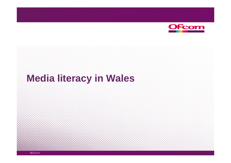

## **Media literacy in Wales**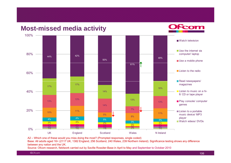

A2 – Which one of these would you miss doing the most? (Prompted responses, single coded)

Base: All adults aged 16+ (2117 UK, 1382 England, 256 Scotland, 240 Wales, 239 Northern Ireland). Significance testing shows any difference between any nation and the UK.

Source: Ofcom research, fieldwork carried out by Saville Rossiter-Base in April to May and September to October 2010

©Ofcom

Fcom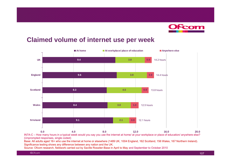

## **Claimed volume of internet use per week**



IN7A-C – How many hours in a typical week would you say you use the internet at home/ at your workplace or place of education/ anywhere else? (Unprompted responses, single coded)

Base: All adults aged 16+ who use the internet at home or elsewhere (1489 UK, 1004 England, 162 Scotland, 156 Wales, 167 Northern Ireland). Significance testing shows any difference between any nation and the UK.

Source: Ofcom research, fieldwork carried out by Saville Rossiter-Base in April to May and September to October 2010